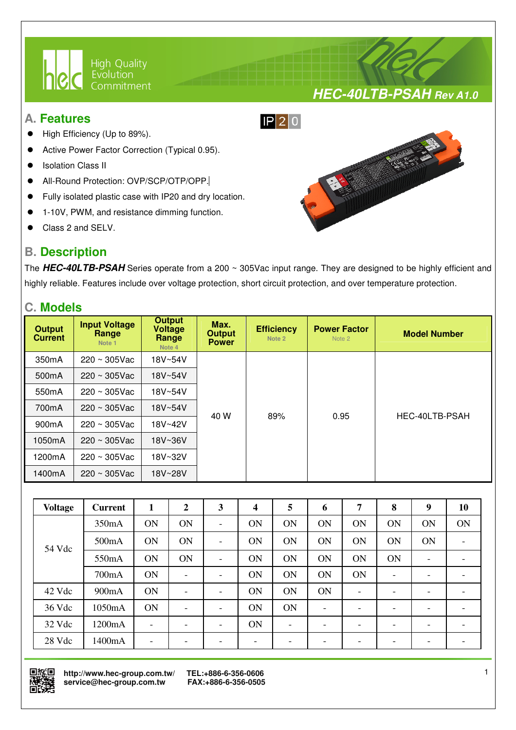

#### **A. Features**

- High Efficiency (Up to 89%).
- Active Power Factor Correction (Typical 0.95).
- Isolation Class II
- All-Round Protection: OVP/SCP/OTP/OPP.
- Fully isolated plastic case with IP20 and dry location.

I

- 1-10V, PWM, and resistance dimming function.
- Class 2 and SELV.

## **B. Description**



**HEC-40LTB-PSAH Rev A1.0**

The **HEC-40LTB-PSAH** Series operate from a 200 ~ 305Vac input range. They are designed to be highly efficient and highly reliable. Features include over voltage protection, short circuit protection, and over temperature protection.

#### **C. Models**

| <b>Output</b><br><b>Current</b> | <b>Input Voltage</b><br>Range<br>Note 1 | <b>Output</b><br><b>Voltage</b><br>Range<br>Note 4 | Max.<br><b>Output</b><br><b>Power</b> | <b>Efficiency</b><br>Note 2 | <b>Power Factor</b><br>Note 2 | <b>Model Number</b> |
|---------------------------------|-----------------------------------------|----------------------------------------------------|---------------------------------------|-----------------------------|-------------------------------|---------------------|
| 350 <sub>m</sub> A              | $220 \sim 305$ Vac                      | 18V~54V                                            |                                       |                             |                               |                     |
| 500 <sub>m</sub> A              | $220 \sim 305$ Vac                      | 18V~54V                                            |                                       |                             |                               |                     |
| 550 <sub>m</sub> A              | $220 \sim 305$ Vac                      | 18V~54V                                            |                                       | 89%                         | 0.95                          | HEC-40LTB-PSAH      |
| 700mA                           | $220 \sim 305$ Vac                      | 18V~54V                                            | 40 W                                  |                             |                               |                     |
| 900 <sub>m</sub> A              | $220 \sim 305$ Vac                      | 18V~42V                                            |                                       |                             |                               |                     |
| 1050mA                          | $220 \sim 305$ Vac                      | 18V~36V                                            |                                       |                             |                               |                     |
| 1200mA                          | $220 \sim 305$ Vac                      | 18V~32V                                            |                                       |                             |                               |                     |
| 1400mA                          | $220 \sim 305$ Vac                      | 18V~28V                                            |                                       |                             |                               |                     |

| <b>Voltage</b> | <b>Current</b> | 1                        | $\overline{2}$               | 3                        | 4                        | 5                        | 6                        | 7                        | 8  | 9  | 10                       |
|----------------|----------------|--------------------------|------------------------------|--------------------------|--------------------------|--------------------------|--------------------------|--------------------------|----|----|--------------------------|
|                | 350mA          | ON                       | ON                           | -                        | <b>ON</b>                | ON                       | ON                       | ON                       | ON | ON | <b>ON</b>                |
| 54 Vdc         | 500mA          | ON                       | ON                           | $\overline{\phantom{0}}$ | <b>ON</b>                | ON                       | ON                       | ON                       | ON | ON | $\overline{\phantom{a}}$ |
|                | 550mA          | ON                       | ON                           | $\overline{\phantom{0}}$ | <b>ON</b>                | ON                       | ON                       | ON                       | ON |    |                          |
|                | 700mA          | ON                       | $\qquad \qquad \blacksquare$ |                          | ON                       | ON                       | ON                       | ON                       |    |    |                          |
| 42 Vdc         | 900mA          | ON                       | $\overline{\phantom{0}}$     | -                        | ON                       | <b>ON</b>                | ON                       | $\overline{\phantom{0}}$ |    |    |                          |
| 36 Vdc         | 1050mA         | ON                       | $\overline{\phantom{0}}$     | -                        | ON                       | <b>ON</b>                | $\overline{\phantom{a}}$ | $\overline{\phantom{0}}$ |    |    |                          |
| 32 Vdc         | 1200mA         |                          | -                            | $\overline{\phantom{0}}$ | ON                       | $\overline{\phantom{0}}$ | $\overline{\phantom{a}}$ | -                        |    |    |                          |
| 28 Vdc         | 1400mA         | $\overline{\phantom{0}}$ | -                            | -                        | $\overline{\phantom{0}}$ |                          | -                        | -                        | -  |    |                          |



 **http://www.hec-group.com.tw/ TEL:+886-6-356-0606**   $s$ ervice@hec-group.com.tw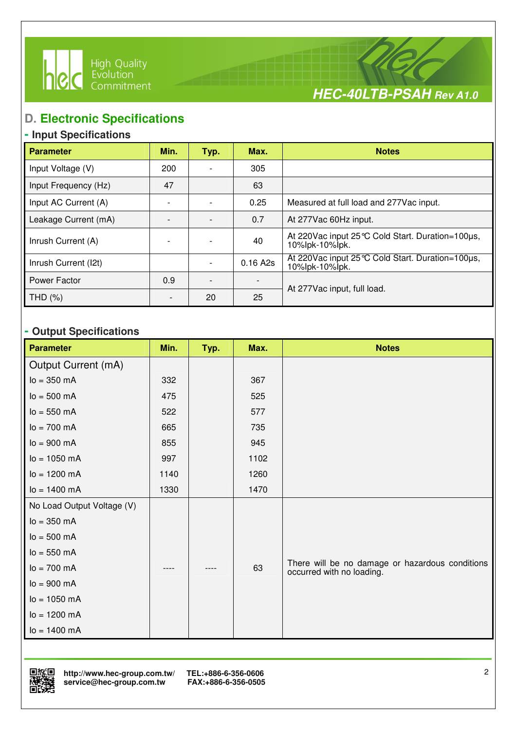



## **D. Electronic Specifications**

I

## **- Input Specifications**

| <b>Parameter</b>     | Min. | Typ. | Max.     | <b>Notes</b>                                                          |
|----------------------|------|------|----------|-----------------------------------------------------------------------|
| Input Voltage (V)    | 200  |      | 305      |                                                                       |
| Input Frequency (Hz) | 47   |      | 63       |                                                                       |
| Input AC Current (A) |      |      | 0.25     | Measured at full load and 277Vac input.                               |
| Leakage Current (mA) |      |      | 0.7      | At 277Vac 60Hz input.                                                 |
| Inrush Current (A)   |      |      | 40       | At 220 Vac input 25 °C Cold Start. Duration=100µs,<br>10%lpk-10%lpk.  |
| Inrush Current (I2t) |      |      | 0.16 A2s | At 220 Vac input 25 °C Cold Start. Duration=100 µs,<br>10%lpk-10%lpk. |
| Power Factor         | 0.9  |      |          | At 277 Vac input, full load.                                          |
| THD (%)              |      | 20   | 25       |                                                                       |

## **- Output Specifications**

| <b>Parameter</b>           | Min. | Typ. | Max. | <b>Notes</b>                                                                 |
|----------------------------|------|------|------|------------------------------------------------------------------------------|
| Output Current (mA)        |      |      |      |                                                                              |
| $lo = 350 mA$              | 332  |      | 367  |                                                                              |
| $I_0 = 500 \, \text{mA}$   | 475  |      | 525  |                                                                              |
| $lo = 550 mA$              | 522  |      | 577  |                                                                              |
| $I_0 = 700 \, \text{mA}$   | 665  |      | 735  |                                                                              |
| $lo = 900 mA$              | 855  |      | 945  |                                                                              |
| $lo = 1050$ mA             | 997  |      | 1102 |                                                                              |
| $lo = 1200 mA$             | 1140 |      | 1260 |                                                                              |
| $lo = 1400 \, mA$          | 1330 |      | 1470 |                                                                              |
| No Load Output Voltage (V) |      |      |      |                                                                              |
| $lo = 350 mA$              |      |      |      |                                                                              |
| $I_0 = 500 \, \text{mA}$   |      |      |      |                                                                              |
| $lo = 550 mA$              |      |      |      |                                                                              |
| $lo = 700 mA$              |      |      | 63   | There will be no damage or hazardous conditions<br>occurred with no loading. |
| $lo = 900 mA$              |      |      |      |                                                                              |
| $lo = 1050 mA$             |      |      |      |                                                                              |
| $lo = 1200 mA$             |      |      |      |                                                                              |
| $lo = 1400 \, mA$          |      |      |      |                                                                              |

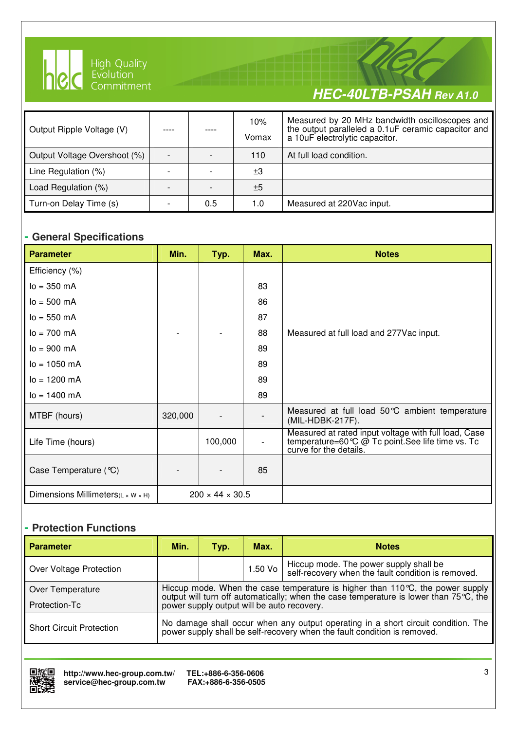

I

# **HEC-40LTB-PSAH Rev A1.0**

| Output Ripple Voltage (V)    |     | 10%<br>Vomax | Measured by 20 MHz bandwidth oscilloscopes and<br>the output paralleled a 0.1uF ceramic capacitor and<br>a 10uF electrolytic capacitor. |
|------------------------------|-----|--------------|-----------------------------------------------------------------------------------------------------------------------------------------|
| Output Voltage Overshoot (%) |     | 110          | At full load condition.                                                                                                                 |
| Line Regulation (%)          |     | $\pm 3$      |                                                                                                                                         |
| Load Regulation (%)          |     | ±5           |                                                                                                                                         |
| Turn-on Delay Time (s)       | 0.5 | 1.0          | Measured at 220Vac input.                                                                                                               |

#### **- General Specifications**

| <b>Parameter</b>                                | Min.                        | Typ.    | Max. | <b>Notes</b>                                                                                                                        |
|-------------------------------------------------|-----------------------------|---------|------|-------------------------------------------------------------------------------------------------------------------------------------|
| Efficiency (%)                                  |                             |         |      |                                                                                                                                     |
| $I_0 = 350$ mA                                  |                             |         | 83   |                                                                                                                                     |
| $I_0 = 500 \, \text{mA}$                        |                             |         | 86   |                                                                                                                                     |
| $I_0 = 550$ mA                                  |                             |         | 87   |                                                                                                                                     |
| $I_0 = 700 \, \text{mA}$                        |                             |         | 88   | Measured at full load and 277 Vac input.                                                                                            |
| $I_0 = 900 \, \text{mA}$                        |                             |         | 89   |                                                                                                                                     |
| $I_0 = 1050$ mA                                 |                             |         | 89   |                                                                                                                                     |
| $I_0 = 1200$ mA                                 |                             |         | 89   |                                                                                                                                     |
| $lo = 1400$ mA                                  |                             |         | 89   |                                                                                                                                     |
| MTBF (hours)                                    | 320,000                     |         |      | Measured at full load 50℃ ambient temperature<br>(MIL-HDBK-217F).                                                                   |
| Life Time (hours)                               |                             | 100,000 |      | Measured at rated input voltage with full load, Case<br>temperature=60 ℃ @ Tc point. See life time vs. Tc<br>curve for the details. |
| Case Temperature (°C)                           |                             |         | 85   |                                                                                                                                     |
| Dimensions Millimeters( $L \times W \times H$ ) | $200 \times 44 \times 30.5$ |         |      |                                                                                                                                     |

#### **- Protection Functions**

| <b>Parameter</b>                | Min.                                                                                                                                                          | Typ. | Max.      | <b>Notes</b>                                                                                 |  |  |  |
|---------------------------------|---------------------------------------------------------------------------------------------------------------------------------------------------------------|------|-----------|----------------------------------------------------------------------------------------------|--|--|--|
| Over Voltage Protection         |                                                                                                                                                               |      | $1.50$ Vo | Hiccup mode. The power supply shall be<br>self-recovery when the fault condition is removed. |  |  |  |
| Over Temperature                | Hiccup mode. When the case temperature is higher than 110 $\degree$ C, the power supply                                                                       |      |           |                                                                                              |  |  |  |
| Protection-Tc                   | output will turn off automatically; when the case temperature is lower than 75 °C, the<br>power supply output will be auto recovery.                          |      |           |                                                                                              |  |  |  |
| <b>Short Circuit Protection</b> | No damage shall occur when any output operating in a short circuit condition. The<br>power supply shall be self-recovery when the fault condition is removed. |      |           |                                                                                              |  |  |  |

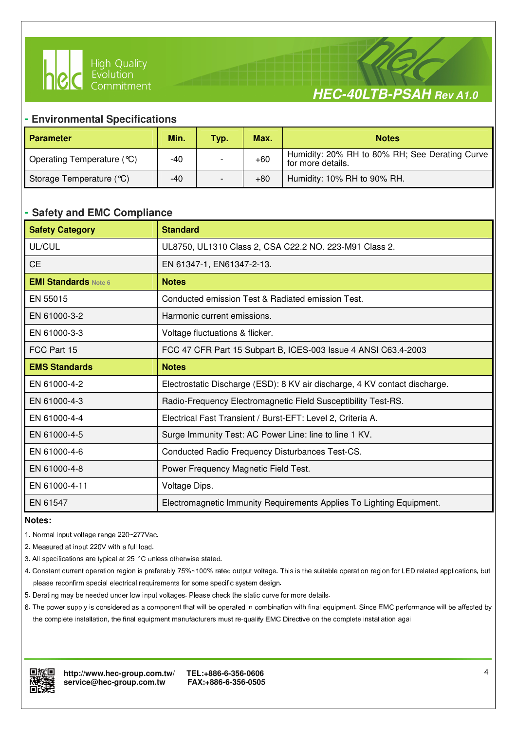



#### **- Environmental Specifications**

I

| <b>Parameter</b>           | Min. | Typ. | Max.  | <b>Notes</b>                                                        |
|----------------------------|------|------|-------|---------------------------------------------------------------------|
| Operating Temperature (°C) | -40  |      | $+60$ | Humidity: 20% RH to 80% RH; See Derating Curve<br>for more details. |
| Storage Temperature (°C)   | -40  |      | $+80$ | Humidity: 10% RH to 90% RH.                                         |

#### **- Safety and EMC Compliance**

| <b>Safety Category</b>      | <b>Standard</b>                                                            |
|-----------------------------|----------------------------------------------------------------------------|
| UL/CUL                      | UL8750, UL1310 Class 2, CSA C22.2 NO. 223-M91 Class 2.                     |
| <b>CE</b>                   | EN 61347-1, EN61347-2-13.                                                  |
| <b>EMI Standards Note 6</b> | <b>Notes</b>                                                               |
| EN 55015                    | Conducted emission Test & Radiated emission Test.                          |
| EN 61000-3-2                | Harmonic current emissions.                                                |
| EN 61000-3-3                | Voltage fluctuations & flicker.                                            |
| FCC Part 15                 | FCC 47 CFR Part 15 Subpart B, ICES-003 Issue 4 ANSI C63.4-2003             |
| <b>EMS Standards</b>        | <b>Notes</b>                                                               |
| EN 61000-4-2                | Electrostatic Discharge (ESD): 8 KV air discharge, 4 KV contact discharge. |
| EN 61000-4-3                | Radio-Frequency Electromagnetic Field Susceptibility Test-RS.              |
| EN 61000-4-4                | Electrical Fast Transient / Burst-EFT: Level 2, Criteria A.                |
| EN 61000-4-5                | Surge Immunity Test: AC Power Line: line to line 1 KV.                     |
| EN 61000-4-6                | Conducted Radio Frequency Disturbances Test-CS.                            |
| EN 61000-4-8                | Power Frequency Magnetic Field Test.                                       |
| EN 61000-4-11               | Voltage Dips.                                                              |
| EN 61547                    | Electromagnetic Immunity Requirements Applies To Lighting Equipment.       |

#### **Notes:**

- 1. Normal input voltage range 220~277Vac.
- 2. Measured at input 220V with a full load.
- 3. All specifications are typical at 25 °C unless otherwise stated.
- 4. Constant current operation region is preferably 75%~100% rated output voltage. This is the suitable operation region for LED related applications, but please reconfirm special electrical requirements for some specific system design.
- 5. Derating may be needed under low input voltages. Please check the static curve for more details.
- 6. The power supply is considered as a component that will be operated in combination with final equipment. Since EMC performance will be affected by the complete installation, the final equipment manufacturers must re-qualify EMC Directive on the complete installation agai

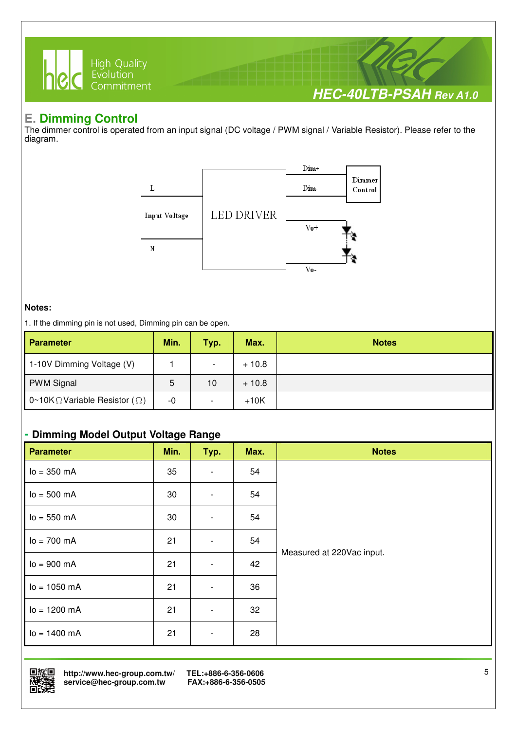

### **E. Dimming Control**

The dimmer control is operated from an input signal (DC voltage / PWM signal / Variable Resistor). Please refer to the diagram.



#### **Notes:**

1. If the dimming pin is not used, Dimming pin can be open.

| <b>Parameter</b>                              | Min. | Typ.                     | Max.    | <b>Notes</b> |
|-----------------------------------------------|------|--------------------------|---------|--------------|
| 1-10V Dimming Voltage (V)                     |      | $\overline{\phantom{a}}$ | $+10.8$ |              |
| <b>PWM Signal</b>                             | 5    | 10                       | $+10.8$ |              |
| 0~10K $\Omega$ Variable Resistor ( $\Omega$ ) | -0   |                          | $+10K$  |              |

#### **- Dimming Model Output Voltage Range**

| <b>Parameter</b>         | Min. | Typ.                     | Max. | <b>Notes</b>              |
|--------------------------|------|--------------------------|------|---------------------------|
| $lo = 350 mA$            | 35   | $\overline{\phantom{a}}$ | 54   |                           |
| $I_0 = 500 \, \text{mA}$ | 30   | $\overline{\phantom{a}}$ | 54   |                           |
| $lo = 550 mA$            | 30   | $\overline{\phantom{a}}$ | 54   |                           |
| $I_0 = 700 \text{ mA}$   | 21   | $\overline{\phantom{0}}$ | 54   |                           |
| $lo = 900 mA$            | 21   | $\overline{\phantom{0}}$ | 42   | Measured at 220Vac input. |
| $I_0 = 1050$ mA          | 21   | $\overline{\phantom{a}}$ | 36   |                           |
| $lo = 1200 mA$           | 21   | $\overline{\phantom{0}}$ | 32   |                           |
| $I_0 = 1400 \text{ mA}$  | 21   | $\overline{\phantom{a}}$ | 28   |                           |



 **http://www.hec-group.com.tw/ TEL:+886-6-356-0606**   $s$ ervice@hec-group.com.tw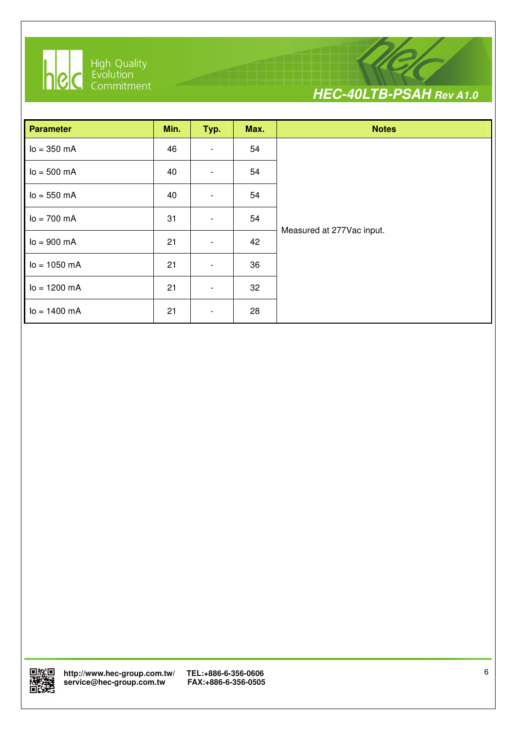

I



| <b>Parameter</b>         | Min. | Typ.                     | Max. | <b>Notes</b>              |
|--------------------------|------|--------------------------|------|---------------------------|
| $lo = 350 mA$            | 46   | $\overline{\phantom{a}}$ | 54   |                           |
| $lo = 500 mA$            | 40   | $\overline{\phantom{a}}$ | 54   |                           |
| $lo = 550 mA$            | 40   | $\overline{\phantom{0}}$ | 54   |                           |
| $I_0 = 700 \, \text{mA}$ | 31   | $\overline{\phantom{a}}$ | 54   |                           |
| $lo = 900 mA$            | 21   | $\overline{\phantom{0}}$ | 42   | Measured at 277Vac input. |
| $Io = 1050$ mA           | 21   | $\overline{\phantom{a}}$ | 36   |                           |
| $lo = 1200 mA$           | 21   | $\overline{\phantom{a}}$ | 32   |                           |
| $I_0 = 1400 \text{ mA}$  | 21   | $\overline{\phantom{a}}$ | 28   |                           |

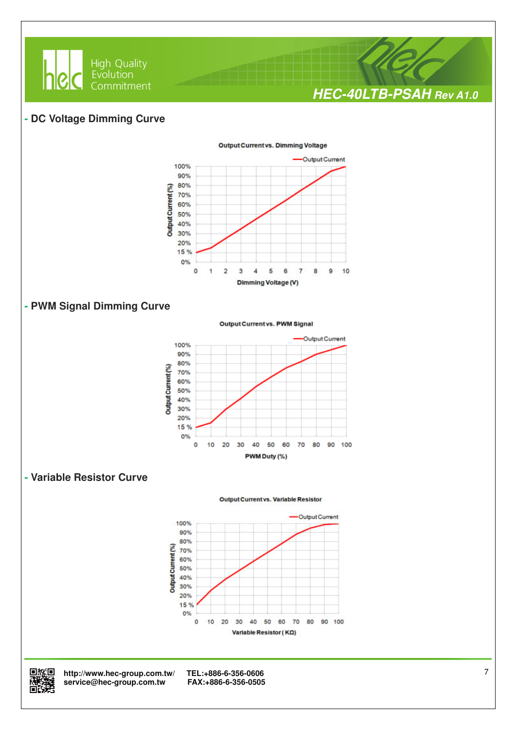

#### **- DC Voltage Dimming Curve**



#### **- PWM Signal Dimming Curve**

Output Current vs. PWM Signal



#### **- Variable Resistor Curve**







回旅回 http://www.hec-group.com.tw/ TEL:+886-6-356-0606<br>**随時難** service@hec-group.com.tw FAX:+886-6-356-0505<br>回設培  $\mathbf{service@hec}\text{-}\mathbf{group.com}$ .tw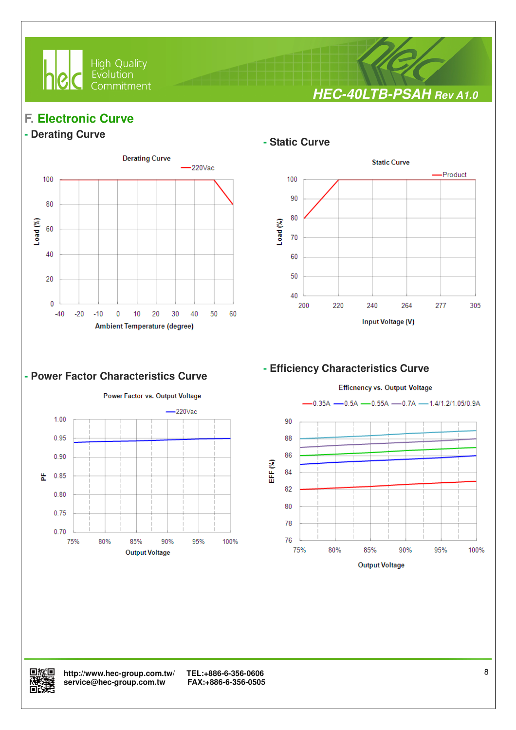

**HEC-40LTB-PSAH Rev A1.0**

## **F. Electronic Curve**

#### **- Derating Curve**



I

#### **- Static Curve**



#### **- Power Factor Characteristics Curve**



#### **- Efficiency Characteristics Curve**





 **http://www.hec-group.com.tw/ TEL:+886-6-356-0606 精选** service@hec-group.com.tw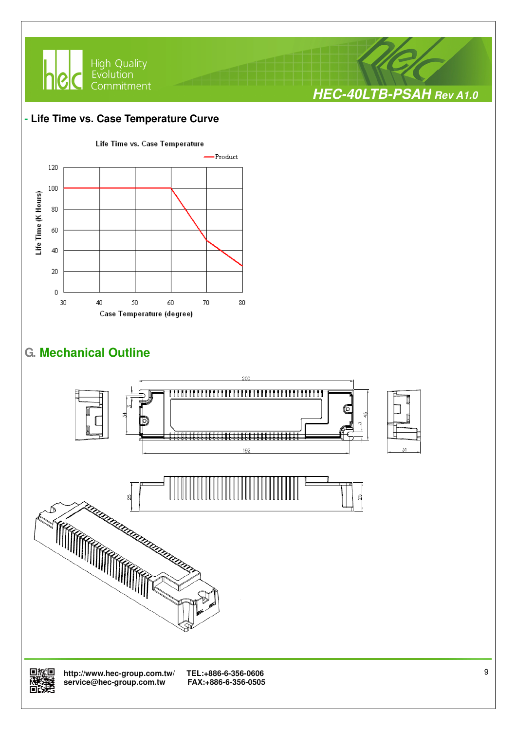

#### **- Life Time vs. Case Temperature Curve**



## **G. Mechanical Outline**





 **http://www.hec-group.com.tw/ TEL:+886-6-356-0606**  service@hec-group.com.tw